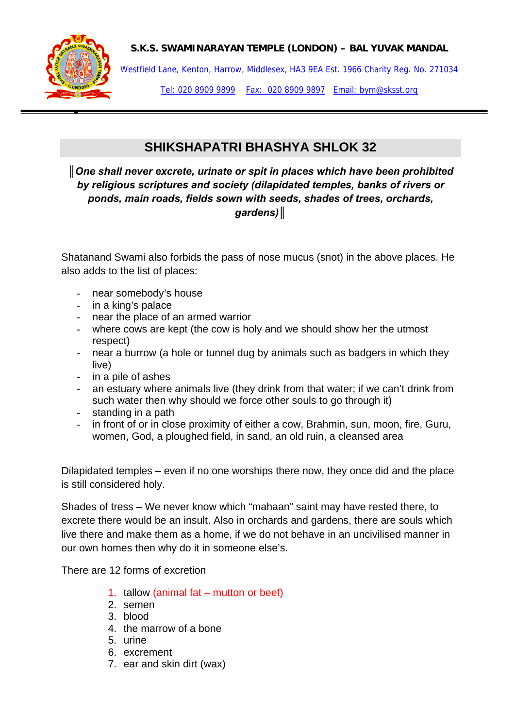

•

## **S.K.S. SWAMINARAYAN TEMPLE (LONDON) – BAL YUVAK MANDAL**

Westfield Lane, Kenton, Harrow, Middlesex, HA3 9EA Est. 1966 Charity Reg. No. 271034

Tel: 020 8909 9899 Fax: 020 8909 9897 Email: bym@sksst.org

## **SHIKSHAPATRI BHASHYA SHLOK 32**

*║One shall never excrete, urinate or spit in places which have been prohibited by religious scriptures and society (dilapidated temples, banks of rivers or ponds, main roads, fields sown with seeds, shades of trees, orchards, gardens)║*

Shatanand Swami also forbids the pass of nose mucus (snot) in the above places. He also adds to the list of places:

- near somebody's house
- in a king's palace
- near the place of an armed warrior
- where cows are kept (the cow is holy and we should show her the utmost respect)
- near a burrow (a hole or tunnel dug by animals such as badgers in which they live)
- in a pile of ashes
- an estuary where animals live (they drink from that water; if we can't drink from such water then why should we force other souls to go through it)
- standing in a path
- in front of or in close proximity of either a cow, Brahmin, sun, moon, fire, Guru, women, God, a ploughed field, in sand, an old ruin, a cleansed area

Dilapidated temples – even if no one worships there now, they once did and the place is still considered holy.

Shades of tress – We never know which "mahaan" saint may have rested there, to excrete there would be an insult. Also in orchards and gardens, there are souls which live there and make them as a home, if we do not behave in an uncivilised manner in our own homes then why do it in someone else's.

There are 12 forms of excretion

- 1. tallow (animal fat mutton or beef)
- 2. semen
- 3. blood
- 4. the marrow of a bone
- 5. urine
- 6. excrement
- 7. ear and skin dirt (wax)